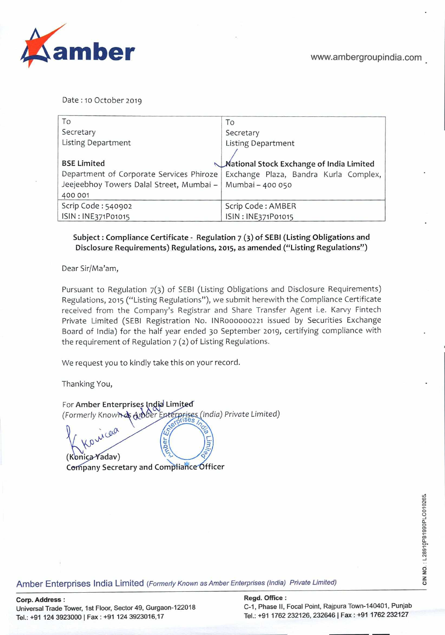

Date: 10 October 2019

| To                                                          | To                                       |
|-------------------------------------------------------------|------------------------------------------|
| Secretary                                                   | Secretary                                |
| Listing Department                                          | <b>Listing Department</b>                |
|                                                             |                                          |
| <b>BSE Limited</b>                                          | Mational Stock Exchange of India Limited |
| Department of Corporate Services Phiroze                    | Exchange Plaza, Bandra Kurla Complex,    |
| Jeejeebhoy Towers Dalal Street, Mumbai -   Mumbai - 400 050 |                                          |
| 400 001                                                     |                                          |
| Scrip Code: 540902                                          | Scrip Code: AMBER                        |
| ISIN: INE371P01015                                          | ISIN: INE371P01015                       |

## **Subject: Compliance Certificate** - **Regulation** 7 () **of SEBI (Listing Obligations and Disclosure Requirements) Regulations,** 2015, **as amended ("Listing Regulations")**

Dear Sir/Ma'am,

Pursuant to Regulation 7(3) of SEBI (Listing Obligations and Disclosure Requirements) Regulations, 2015 ("Listing Regulations"), we submit herewith the Compliance Certificate received from the Company's Registrar and Share Transfer Agent i.e. Karvy Fintech Private Limited (SEBI Registration No. lNR000000221 issued by Securities Exchange Board of India) for the half year ended 30 September 2019, certifying compliance with the requirement of Regulation 7 (2) of Listing Regulations.

We request you to kindly take this on your record.

Thanking You,

For Amber Enterprises India Limited  $\frac{1}{2}$ (Formerly Known & Arober Enterprises (India) Private Limited)  $C^{00}$ 

**K**<br>(Konica Yadav)<br>Company Secretary and Compliance Officer

لائة المجموع التي يتم المجموع المسلمين المسلمين المسلمين المسلمين المسلمين المسلمين المسلمين المسلمين المسلمين<br>يتم المسلمين المسلمين المسلمين المسلمين المسلمين المسلمين المسلمين المسلمين المسلمين المسلمين المسلمين المسلمي

C-1, Phase II, Focal Point, Rajpura Town-140401, Punjab Tel.: +91 1762 232126, 232646 | Fax: +91 1762 232127